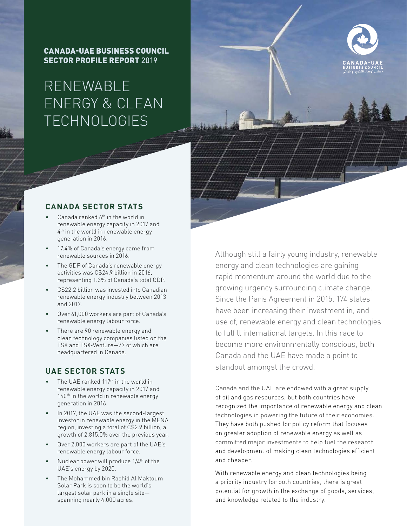CANADA-UAE BUSINESS COUNCIL SECTOR PROFILE REPORT 2019

# RENEWABLE ENERGY & CLEAN **TECHNOLOGIES**



## **CANADA SECTOR STATS**

- Canada ranked  $6<sup>th</sup>$  in the world in renewable energy capacity in 2017 and 4<sup>th</sup> in the world in renewable energy generation in 2016.
- 17.4% of Canada's energy came from renewable sources in 2016.
- The GDP of Canada's renewable energy activities was C\$24.9 billion in 2016, representing 1.3% of Canada's total GDP.
- C\$22.2 billion was invested into Canadian renewable energy industry between 2013 and 2017.
- Over 61,000 workers are part of Canada's renewable energy labour force.
- There are 90 renewable energy and clean technology companies listed on the TSX and TSX-Venture—77 of which are headquartered in Canada.

## **UAE SECTOR STATS**

- The UAE ranked 117<sup>th</sup> in the world in renewable energy capacity in 2017 and 140<sup>th</sup> in the world in renewable energy generation in 2016.
- In 2017, the UAE was the second-largest investor in renewable energy in the MENA region, investing a total of C\$2.9 billion, a growth of 2,815.0% over the previous year.
- Over 2,000 workers are part of the UAE's renewable energy labour force.
- Nuclear power will produce 1/4<sup>th</sup> of the UAE's energy by 2020.
- The Mohammed bin Rashid Al Maktoum Solar Park is soon to be the world's largest solar park in a single site spanning nearly 4,000 acres.

Although still a fairly young industry, renewable energy and clean technologies are gaining rapid momentum around the world due to the growing urgency surrounding climate change. Since the Paris Agreement in 2015, 174 states have been increasing their investment in, and use of, renewable energy and clean technologies to fulfill international targets. In this race to become more environmentally conscious, both Canada and the UAE have made a point to standout amongst the crowd.

Canada and the UAE are endowed with a great supply of oil and gas resources, but both countries have recognized the importance of renewable energy and clean technologies in powering the future of their economies. They have both pushed for policy reform that focuses on greater adoption of renewable energy as well as committed major investments to help fuel the research and development of making clean technologies efficient and cheaper.

With renewable energy and clean technologies being a priority industry for both countries, there is great potential for growth in the exchange of goods, services, and knowledge related to the industry.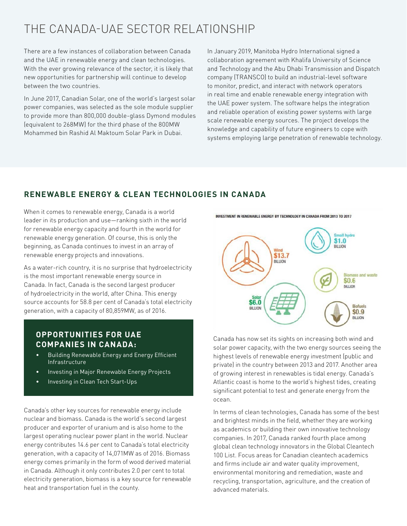## THE CANADA-UAE SECTOR RELATIONSHIP

There are a few instances of collaboration between Canada and the UAE in renewable energy and clean technologies. With the ever growing relevance of the sector, it is likely that new opportunities for partnership will continue to develop between the two countries.

In June 2017, Canadian Solar, one of the world's largest solar power companies, was selected as the sole module supplier to provide more than 800,000 double-glass Dymond modules (equivalent to 268MW) for the third phase of the 800MW Mohammed bin Rashid Al Maktoum Solar Park in Dubai.

In January 2019, Manitoba Hydro International signed a collaboration agreement with Khalifa University of Science and Technology and the Abu Dhabi Transmission and Dispatch company (TRANSCO) to build an industrial-level software to monitor, predict, and interact with network operators in real time and enable renewable energy integration with the UAE power system. The software helps the integration and reliable operation of existing power systems with large scale renewable energy sources. The project develops the knowledge and capability of future engineers to cope with systems employing large penetration of renewable technology.

## **RENEWABLE ENERGY & CLEAN TECHNOLOGIES IN CANADA**

When it comes to renewable energy, Canada is a world leader in its production and use—ranking sixth in the world for renewable energy capacity and fourth in the world for renewable energy generation. Of course, this is only the beginning, as Canada continues to invest in an array of renewable energy projects and innovations.

As a water-rich country, it is no surprise that hydroelectricity is the most important renewable energy source in Canada. In fact, Canada is the second largest producer of hydroelectricity in the world, after China. This energy source accounts for 58.8 per cent of Canada's total electricity generation, with a capacity of 80,859MW, as of 2016.

### **OPPORTUNITIES FOR UAE COMPANIES IN CANADA:**

- Building Renewable Energy and Energy Efficient Infrastructure
- Investing in Major Renewable Energy Projects
- Investing in Clean Tech Start-Ups

Canada's other key sources for renewable energy include nuclear and biomass. Canada is the world's second largest producer and exporter of uranium and is also home to the largest operating nuclear power plant in the world. Nuclear energy contributes 14.6 per cent to Canada's total electricity generation, with a capacity of 14,071MW as of 2016. Biomass energy comes primarily in the form of wood derived material in Canada. Although it only contributes 2.0 per cent to total electricity generation, biomass is a key source for renewable heat and transportation fuel in the county.

INVESTMENT IN RENEWABLE ENERGY BY TECHNOLOGY IN CANADA FROM 2013 TO 2017



Canada has now set its sights on increasing both wind and solar power capacity, with the two energy sources seeing the highest levels of renewable energy investment (public and private) in the country between 2013 and 2017. Another area of growing interest in renewables is tidal energy. Canada's Atlantic coast is home to the world's highest tides, creating significant potential to test and generate energy from the ocean.

In terms of clean technologies, Canada has some of the best and brightest minds in the field, whether they are working as academics or building their own innovative technology companies. In 2017, Canada ranked fourth place among global clean technology innovators in the Global Cleantech 100 List. Focus areas for Canadian cleantech academics and firms include air and water quality improvement, environmental monitoring and remediation, waste and recycling, transportation, agriculture, and the creation of advanced materials.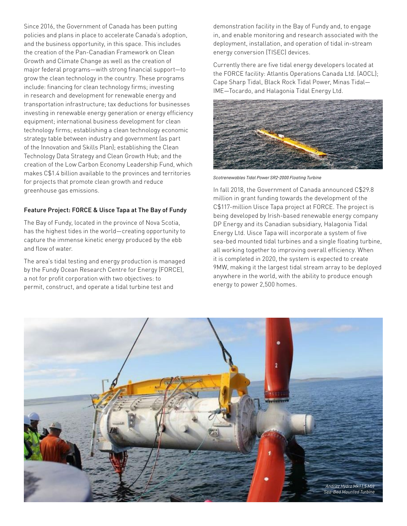Since 2016, the Government of Canada has been putting policies and plans in place to accelerate Canada's adoption, and the business opportunity, in this space. This includes the creation of the Pan-Canadian Framework on Clean Growth and Climate Change as well as the creation of major federal programs—with strong financial support—to grow the clean technology in the country. These programs include: financing for clean technology firms; investing in research and development for renewable energy and transportation infrastructure; tax deductions for businesses investing in renewable energy generation or energy efficiency equipment; international business development for clean technology firms; establishing a clean technology economic strategy table between industry and government (as part of the Innovation and Skills Plan); establishing the Clean Technology Data Strategy and Clean Growth Hub; and the creation of the Low Carbon Economy Leadership Fund, which makes C\$1.4 billion available to the provinces and territories for projects that promote clean growth and reduce greenhouse gas emissions.

#### Feature Project: FORCE & Uisce Tapa at The Bay of Fundy

The Bay of Fundy, located in the province of Nova Scotia, has the highest tides in the world—creating opportunity to capture the immense kinetic energy produced by the ebb and flow of water.

The area's tidal testing and energy production is managed by the Fundy Ocean Research Centre for Energy (FORCE), a not for profit corporation with two objectives: to permit, construct, and operate a tidal turbine test and

demonstration facility in the Bay of Fundy and, to engage in, and enable monitoring and research associated with the deployment, installation, and operation of tidal in-stream energy conversion (TISEC) devices.

Currently there are five tidal energy developers located at the FORCE facility: Atlantis Operations Canada Ltd. (AOCL); Cape Sharp Tidal, Black Rock Tidal Power, Minas Tidal— IME—Tocardo, and Halagonia Tidal Energy Ltd.



*Scotrenewables Tidal Power SR2-2000 Floating Turbine*

In fall 2018, the Government of Canada announced C\$29.8 million in grant funding towards the development of the C\$117-million Uisce Tapa project at FORCE. The project is being developed by Irish-based renewable energy company DP Energy and its Canadian subsidiary, Halagonia Tidal Energy Ltd. Uisce Tapa will incorporate a system of five sea-bed mounted tidal turbines and a single floating turbine, all working together to improving overall efficiency. When it is completed in 2020, the system is expected to create 9MW, making it the largest tidal stream array to be deployed anywhere in the world, with the ability to produce enough energy to power 2,500 homes.

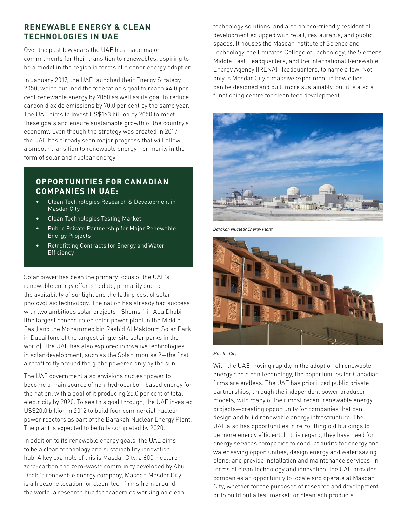## **RENEWABLE ENERGY & CLEAN TECHNOLOGIES IN UAE**

Over the past few years the UAE has made major commitments for their transition to renewables, aspiring to be a model in the region in terms of cleaner energy adoption.

In January 2017, the UAE launched their Energy Strategy 2050, which outlined the federation's goal to reach 44.0 per cent renewable energy by 2050 as well as its goal to reduce carbon dioxide emissions by 70.0 per cent by the same year. The UAE aims to invest US\$163 billion by 2050 to meet these goals and ensure sustainable growth of the country's economy. Even though the strategy was created in 2017, the UAE has already seen major progress that will allow a smooth transition to renewable energy—primarily in the form of solar and nuclear energy.

## **OPPORTUNITIES FOR CANADIAN COMPANIES IN UAE:**

- Clean Technologies Research & Development in Masdar City
- Clean Technologies Testing Market
- Public Private Partnership for Major Renewable Energy Projects
- Retrofitting Contracts for Energy and Water **Efficiency**

Solar power has been the primary focus of the UAE's renewable energy efforts to date, primarily due to the availability of sunlight and the falling cost of solar photovoltaic technology. The nation has already had success with two ambitious solar projects—Shams 1 in Abu Dhabi (the largest concentrated solar power plant in the Middle East) and the Mohammed bin Rashid Al Maktoum Solar Park in Dubai (one of the largest single-site solar parks in the world). The UAE has also explored innovative technologies in solar development, such as the Solar Impulse 2—the first aircraft to fly around the globe powered only by the sun.

The UAE government also envisions nuclear power to become a main source of non-hydrocarbon-based energy for the nation, with a goal of it producing 25.0 per cent of total electricity by 2020. To see this goal through, the UAE invested US\$20.0 billion in 2012 to build four commercial nuclear power reactors as part of the Barakah Nuclear Energy Plant. The plant is expected to be fully completed by 2020.

In addition to its renewable energy goals, the UAE aims to be a clean technology and sustainability innovation hub. A key example of this is Masdar City, a 600-hectare zero-carbon and zero-waste community developed by Abu Dhabi's renewable energy company, Masdar. Masdar City is a freezone location for clean-tech firms from around the world, a research hub for academics working on clean

technology solutions, and also an eco-friendly residential development equipped with retail, restaurants, and public spaces. It houses the Masdar Institute of Science and Technology, the Emirates College of Technology, the Siemens Middle East Headquarters, and the International Renewable Energy Agency (IRENA) Headquarters, to name a few. Not only is Masdar City a massive experiment in how cities can be designed and built more sustainably, but it is also a functioning centre for clean tech development.



*Barakah Nuclear Energy Plant*



*Masdar City*

With the UAE moving rapidly in the adoption of renewable energy and clean technology, the opportunities for Canadian firms are endless. The UAE has prioritized public private partnerships, through the independent power producer models, with many of their most recent renewable energy projects—creating opportunity for companies that can design and build renewable energy infrastructure. The UAE also has opportunities in retrofitting old buildings to be more energy efficient. In this regard, they have need for energy services companies to conduct audits for energy and water saving opportunities; design energy and water saving plans; and provide installation and maintenance services. In terms of clean technology and innovation, the UAE provides companies an opportunity to locate and operate at Masdar City, whether for the purposes of research and development or to build out a test market for cleantech products.